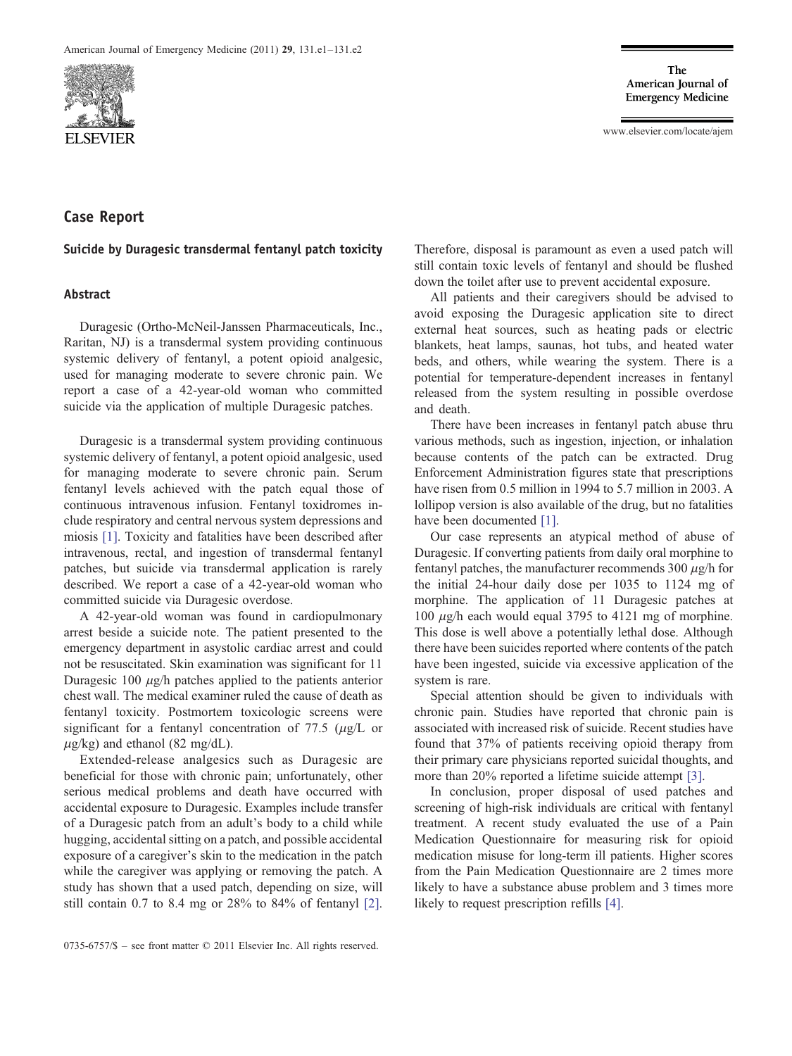

www.elsevier.com/locate/ajem

# Case Report

### Suicide by Duragesic transdermal fentanyl patch toxicity

### Abstract

Duragesic (Ortho-McNeil-Janssen Pharmaceuticals, Inc., Raritan, NJ) is a transdermal system providing continuous systemic delivery of fentanyl, a potent opioid analgesic, used for managing moderate to severe chronic pain. We report a case of a 42-year-old woman who committed suicide via the application of multiple Duragesic patches.

Duragesic is a transdermal system providing continuous systemic delivery of fentanyl, a potent opioid analgesic, used for managing moderate to severe chronic pain. Serum fentanyl levels achieved with the patch equal those of continuous intravenous infusion. Fentanyl toxidromes include respiratory and central nervous system depressions and miosis [\[1\]](#page-1-0). Toxicity and fatalities have been described after intravenous, rectal, and ingestion of transdermal fentanyl patches, but suicide via transdermal application is rarely described. We report a case of a 42-year-old woman who committed suicide via Duragesic overdose.

A 42-year-old woman was found in cardiopulmonary arrest beside a suicide note. The patient presented to the emergency department in asystolic cardiac arrest and could not be resuscitated. Skin examination was significant for 11 Duragesic 100 μg/h patches applied to the patients anterior chest wall. The medical examiner ruled the cause of death as fentanyl toxicity. Postmortem toxicologic screens were significant for a fentanyl concentration of 77.5 ( $\mu$ g/L or  $\mu$ g/kg) and ethanol (82 mg/dL).

Extended-release analgesics such as Duragesic are beneficial for those with chronic pain; unfortunately, other serious medical problems and death have occurred with accidental exposure to Duragesic. Examples include transfer of a Duragesic patch from an adult's body to a child while hugging, accidental sitting on a patch, and possible accidental exposure of a caregiver's skin to the medication in the patch while the caregiver was applying or removing the patch. A study has shown that a used patch, depending on size, will still contain 0.7 to 8.4 mg or 28% to 84% of fentanyl [\[2\]](#page-1-0).

Therefore, disposal is paramount as even a used patch will still contain toxic levels of fentanyl and should be flushed down the toilet after use to prevent accidental exposure.

All patients and their caregivers should be advised to avoid exposing the Duragesic application site to direct external heat sources, such as heating pads or electric blankets, heat lamps, saunas, hot tubs, and heated water beds, and others, while wearing the system. There is a potential for temperature-dependent increases in fentanyl released from the system resulting in possible overdose and death.

There have been increases in fentanyl patch abuse thru various methods, such as ingestion, injection, or inhalation because contents of the patch can be extracted. Drug Enforcement Administration figures state that prescriptions have risen from 0.5 million in 1994 to 5.7 million in 2003. A lollipop version is also available of the drug, but no fatalities have been documented [\[1\].](#page-1-0)

Our case represents an atypical method of abuse of Duragesic. If converting patients from daily oral morphine to fentanyl patches, the manufacturer recommends 300  $\mu$ g/h for the initial 24-hour daily dose per 1035 to 1124 mg of morphine. The application of 11 Duragesic patches at 100 μg/h each would equal 3795 to 4121 mg of morphine. This dose is well above a potentially lethal dose. Although there have been suicides reported where contents of the patch have been ingested, suicide via excessive application of the system is rare.

Special attention should be given to individuals with chronic pain. Studies have reported that chronic pain is associated with increased risk of suicide. Recent studies have found that 37% of patients receiving opioid therapy from their primary care physicians reported suicidal thoughts, and more than 20% reported a lifetime suicide attempt [\[3\].](#page-1-0)

In conclusion, proper disposal of used patches and screening of high-risk individuals are critical with fentanyl treatment. A recent study evaluated the use of a Pain Medication Questionnaire for measuring risk for opioid medication misuse for long-term ill patients. Higher scores from the Pain Medication Questionnaire are 2 times more likely to have a substance abuse problem and 3 times more likely to request prescription refills [\[4\]](#page-1-0).